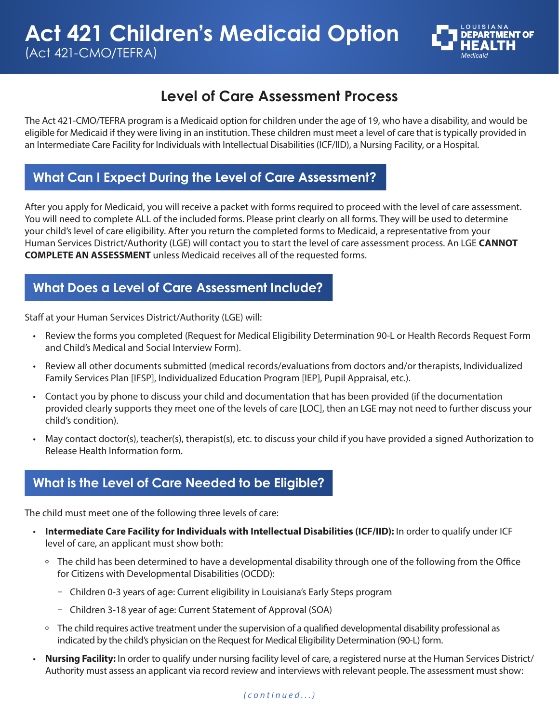

# **Level of Care Assessment Process**

The Act 421-CMO/TEFRA program is a Medicaid option for children under the age of 19, who have a disability, and would be eligible for Medicaid if they were living in an institution. These children must meet a level of care that is typically provided in an Intermediate Care Facility for Individuals with Intellectual Disabilities (ICF/IID), a Nursing Facility, or a Hospital.

#### **What Can I Expect During the Level of Care Assessment?**

After you apply for Medicaid, you will receive a packet with forms required to proceed with the level of care assessment. You will need to complete ALL of the included forms. Please print clearly on all forms. They will be used to determine your child's level of care eligibility. After you return the completed forms to Medicaid, a representative from your Human Services District/Authority (LGE) will contact you to start the level of care assessment process. An LGE **CANNOT COMPLETE AN ASSESSMENT** unless Medicaid receives all of the requested forms.

#### **What Does a Level of Care Assessment Include?**

Staff at your Human Services District/Authority (LGE) will:

- Review the forms you completed (Request for Medical Eligibility Determination 90-L or Health Records Request Form and Child's Medical and Social Interview Form).
- Review all other documents submitted (medical records/evaluations from doctors and/or therapists, Individualized Family Services Plan [IFSP], Individualized Education Program [IEP], Pupil Appraisal, etc.).
- Contact you by phone to discuss your child and documentation that has been provided (if the documentation provided clearly supports they meet one of the levels of care [LOC], then an LGE may not need to further discuss your child's condition).
- May contact doctor(s), teacher(s), therapist(s), etc. to discuss your child if you have provided a signed Authorization to Release Health Information form.

#### **What is the Level of Care Needed to be Eligible?**

The child must meet one of the following three levels of care:

- **Intermediate Care Facility for Individuals with Intellectual Disabilities (ICF/IID):** In order to qualify under ICF level of care, an applicant must show both:
	- º The child has been determined to have a developmental disability through one of the following from the Office for Citizens with Developmental Disabilities (OCDD):
		- Children 0-3 years of age: Current eligibility in Louisiana's Early Steps program
		- ū Children 3-18 year of age: Current Statement of Approval (SOA)
	- º The child requires active treatment under the supervision of a qualified developmental disability professional as indicated by the child's physician on the Request for Medical Eligibility Determination (90-L) form.
- **Nursing Facility:** In order to qualify under nursing facility level of care, a registered nurse at the Human Services District/ Authority must assess an applicant via record review and interviews with relevant people. The assessment must show: